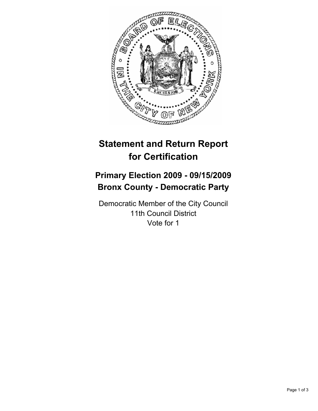

# **Statement and Return Report for Certification**

## **Primary Election 2009 - 09/15/2009 Bronx County - Democratic Party**

Democratic Member of the City Council 11th Council District Vote for 1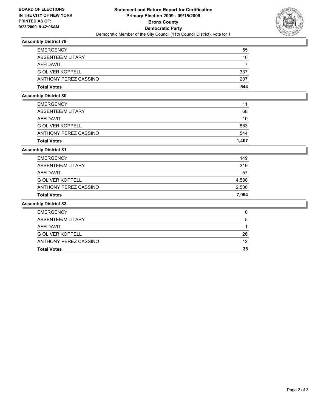

## **Assembly District 78**

| <b>EMERGENCY</b>        | 55  |
|-------------------------|-----|
| ABSENTEE/MILITARY       | 16  |
| AFFIDAVIT               |     |
| <b>G OLIVER KOPPELL</b> | 337 |
| ANTHONY PEREZ CASSINO   | 207 |
| <b>Total Votes</b>      | 544 |

#### **Assembly District 80**

| <b>Total Votes</b>      | 1.407 |
|-------------------------|-------|
| ANTHONY PEREZ CASSINO   | 544   |
| <b>G OLIVER KOPPELL</b> | 863   |
| AFFIDAVIT               | 10    |
| ABSENTEE/MILITARY       | 68    |
| <b>EMERGENCY</b>        | 11    |
|                         |       |

### **Assembly District 81**

| <b>Total Votes</b>      | 7.094 |
|-------------------------|-------|
| ANTHONY PEREZ CASSINO   | 2,506 |
| <b>G OLIVER KOPPELL</b> | 4,588 |
| AFFIDAVIT               | 57    |
| ABSENTEE/MILITARY       | 319   |
| <b>EMERGENCY</b>        | 149   |

#### **Assembly District 83**

| <b>EMERGENCY</b>        |    |
|-------------------------|----|
| ABSENTEE/MILITARY       | 5  |
| AFFIDAVIT               |    |
| <b>G OLIVER KOPPELL</b> | 26 |
| ANTHONY PEREZ CASSINO   | 12 |
| <b>Total Votes</b>      | 38 |